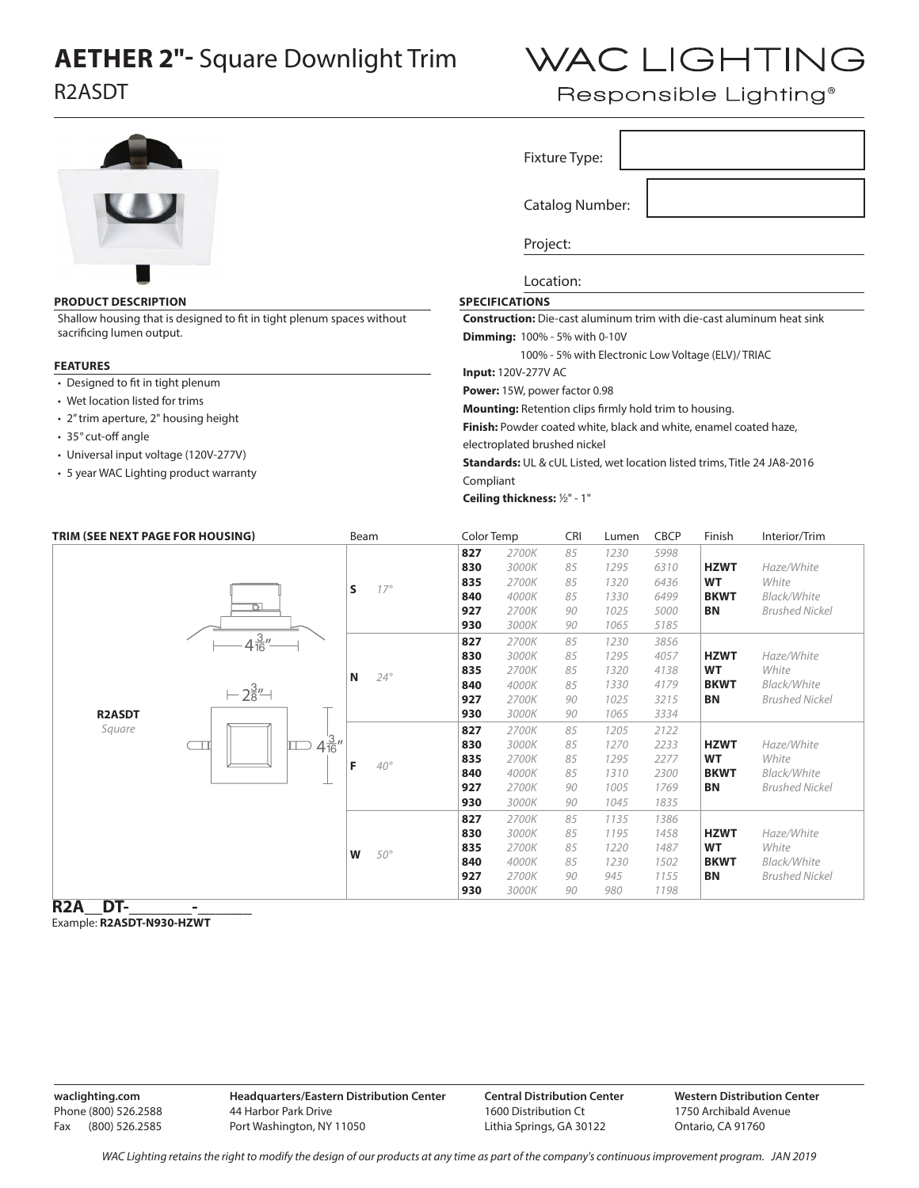## **AETHER 2"-** Square Downlight Trim

R2ASDT

## WAC LIGHTING

Responsible Lighting<sup>®</sup>

|                                                                        |                                                   |                           |                                    |                                                                              | Fixture Type: |              |              |                          |                                                                          |  |
|------------------------------------------------------------------------|---------------------------------------------------|---------------------------|------------------------------------|------------------------------------------------------------------------------|---------------|--------------|--------------|--------------------------|--------------------------------------------------------------------------|--|
|                                                                        |                                                   |                           | <b>Catalog Number:</b><br>Project: |                                                                              |               |              |              |                          |                                                                          |  |
|                                                                        |                                                   |                           |                                    |                                                                              |               |              |              |                          |                                                                          |  |
| <b>PRODUCT DESCRIPTION</b>                                             | <b>SPECIFICATIONS</b>                             |                           |                                    |                                                                              |               |              |              |                          |                                                                          |  |
| Shallow housing that is designed to fit in tight plenum spaces without |                                                   |                           |                                    | <b>Construction:</b> Die-cast aluminum trim with die-cast aluminum heat sink |               |              |              |                          |                                                                          |  |
| sacrificing lumen output.                                              | <b>Dimming:</b> 100% - 5% with 0-10V              |                           |                                    |                                                                              |               |              |              |                          |                                                                          |  |
|                                                                        | 100% - 5% with Electronic Low Voltage (ELV)/TRIAC |                           |                                    |                                                                              |               |              |              |                          |                                                                          |  |
| <b>FEATURES</b>                                                        |                                                   |                           |                                    | <b>Input: 120V-277V AC</b>                                                   |               |              |              |                          |                                                                          |  |
| • Designed to fit in tight plenum                                      |                                                   |                           |                                    |                                                                              |               |              |              |                          |                                                                          |  |
| • Wet location listed for trims                                        |                                                   |                           |                                    | Power: 15W, power factor 0.98                                                |               |              |              |                          |                                                                          |  |
| • 2" trim aperture, 2" housing height                                  |                                                   |                           |                                    | Mounting: Retention clips firmly hold trim to housing.                       |               |              |              |                          |                                                                          |  |
| • 35° cut-off angle                                                    |                                                   |                           |                                    | Finish: Powder coated white, black and white, enamel coated haze,            |               |              |              |                          |                                                                          |  |
| • Universal input voltage (120V-277V)                                  |                                                   |                           |                                    | electroplated brushed nickel                                                 |               |              |              |                          |                                                                          |  |
|                                                                        |                                                   |                           |                                    |                                                                              |               |              |              |                          | Standards: UL & cUL Listed, wet location listed trims, Title 24 JA8-2016 |  |
| • 5 year WAC Lighting product warranty                                 |                                                   |                           |                                    | Compliant                                                                    |               |              |              |                          |                                                                          |  |
|                                                                        |                                                   |                           |                                    | Ceiling thickness: 1/2" - 1"                                                 |               |              |              |                          |                                                                          |  |
|                                                                        |                                                   |                           |                                    |                                                                              |               |              |              |                          |                                                                          |  |
|                                                                        | TRIM (SEE NEXT PAGE FOR HOUSING)                  | Beam                      | Color Temp                         |                                                                              | <b>CRI</b>    | Lumen        | <b>CBCP</b>  | Finish                   | Interior/Trim                                                            |  |
|                                                                        |                                                   |                           | 827                                | 2700K                                                                        | 85            | 1230         | 5998         |                          |                                                                          |  |
|                                                                        |                                                   |                           | 830                                | 3000K                                                                        | 85            | 1295         | 6310         | <b>HZWT</b>              | Haze/White                                                               |  |
|                                                                        |                                                   | S<br>$17^\circ$           | 835                                | 2700K                                                                        | 85            | 1320         | 6436         | <b>WT</b>                | White                                                                    |  |
|                                                                        | Þ                                                 |                           | 840<br>927                         | 4000K<br>2700K                                                               | 85<br>90      | 1330<br>1025 | 6499<br>5000 | <b>BKWT</b><br><b>BN</b> | Black/White<br><b>Brushed Nickel</b>                                     |  |
|                                                                        |                                                   |                           | 930                                | 3000K                                                                        | 90            | 1065         | 5185         |                          |                                                                          |  |
|                                                                        | $4\frac{3}{16}$ "                                 |                           | 827                                | 2700K                                                                        | 85            | 1230         | 3856         |                          |                                                                          |  |
|                                                                        |                                                   |                           | 830                                | 3000K                                                                        | 85            | 1295         | 4057         | <b>HZWT</b>              | Haze/White                                                               |  |
|                                                                        |                                                   | N<br>$24^\circ$           | 835                                | 2700K                                                                        | 85            | 1320         | 4138         | <b>WT</b>                | White                                                                    |  |
|                                                                        | $-2\frac{3}{8}$ " $-1$                            |                           | 840                                | 4000K                                                                        | 85            | 1330         | 4179         | <b>BKWT</b>              | Black/White                                                              |  |
|                                                                        |                                                   |                           | 927                                | 2700K                                                                        | 90            | 1025         | 3215         | <b>BN</b>                | <b>Brushed Nickel</b>                                                    |  |
| <b>R2ASDT</b>                                                          |                                                   |                           | 930                                | 3000K                                                                        | 90            | 1065         | 3334         |                          |                                                                          |  |
| Square                                                                 |                                                   |                           | 827                                | 2700K                                                                        | 85            | 1205         | 2122         |                          |                                                                          |  |
|                                                                        | ╥                                                 | $\Box$ 4 $\frac{3}{16}$ " | 830                                | 3000K                                                                        | 85            | 1270         | 2233         | <b>HZWT</b><br>WТ        | Haze/White                                                               |  |
|                                                                        |                                                   | F<br>$40^\circ$           | 835<br>840                         | 2700K<br>4000K                                                               | 85<br>85      | 1295<br>1310 | 2277<br>2300 | <b>BKWT</b>              | White<br>Black/White                                                     |  |
|                                                                        |                                                   |                           | 927                                | 2700K                                                                        | 90            | 1005         | 1769         | <b>BN</b>                | <b>Brushed Nickel</b>                                                    |  |
|                                                                        |                                                   |                           | 930                                | 3000K                                                                        | 90            | 1045         | 1835         |                          |                                                                          |  |
|                                                                        |                                                   |                           | 827                                | 2700K                                                                        | 85            | 1135         | 1386         |                          |                                                                          |  |
|                                                                        |                                                   |                           | 830                                | 3000K                                                                        | 85            | 1195         | 1458         | <b>HZWT</b>              | Haze/White                                                               |  |
|                                                                        |                                                   | W<br>$50^\circ$           | 835                                | 2700K                                                                        | 85            | 1220         | 1487         | <b>WT</b>                | White                                                                    |  |
|                                                                        |                                                   |                           | 840                                | 4000K                                                                        | 85            | 1230         | 1502         | <b>BKWT</b>              | Black/White                                                              |  |
|                                                                        |                                                   |                           | 927                                | 2700K                                                                        | 90            | 945          | 1155         | <b>BN</b>                | <b>Brushed Nickel</b>                                                    |  |
|                                                                        |                                                   |                           | 930                                | 3000K                                                                        | 90            | 980          | 1198         |                          |                                                                          |  |

**R2A** DT-Example: **R2ASDT-N930-HZWT**

**waclighting.com** Phone (800) 526.2588 Fax (800) 526.2585 **Headquarters/Eastern Distribution Center** 44 Harbor Park Drive Port Washington, NY 11050

**Central Distribution Center** 1600 Distribution Ct Lithia Springs, GA 30122

**Western Distribution Center**  1750 Archibald Avenue Ontario, CA 91760

*WAC Lighting retains the right to modify the design of our products at any time as part of the company's continuous improvement program. Jan 2019*